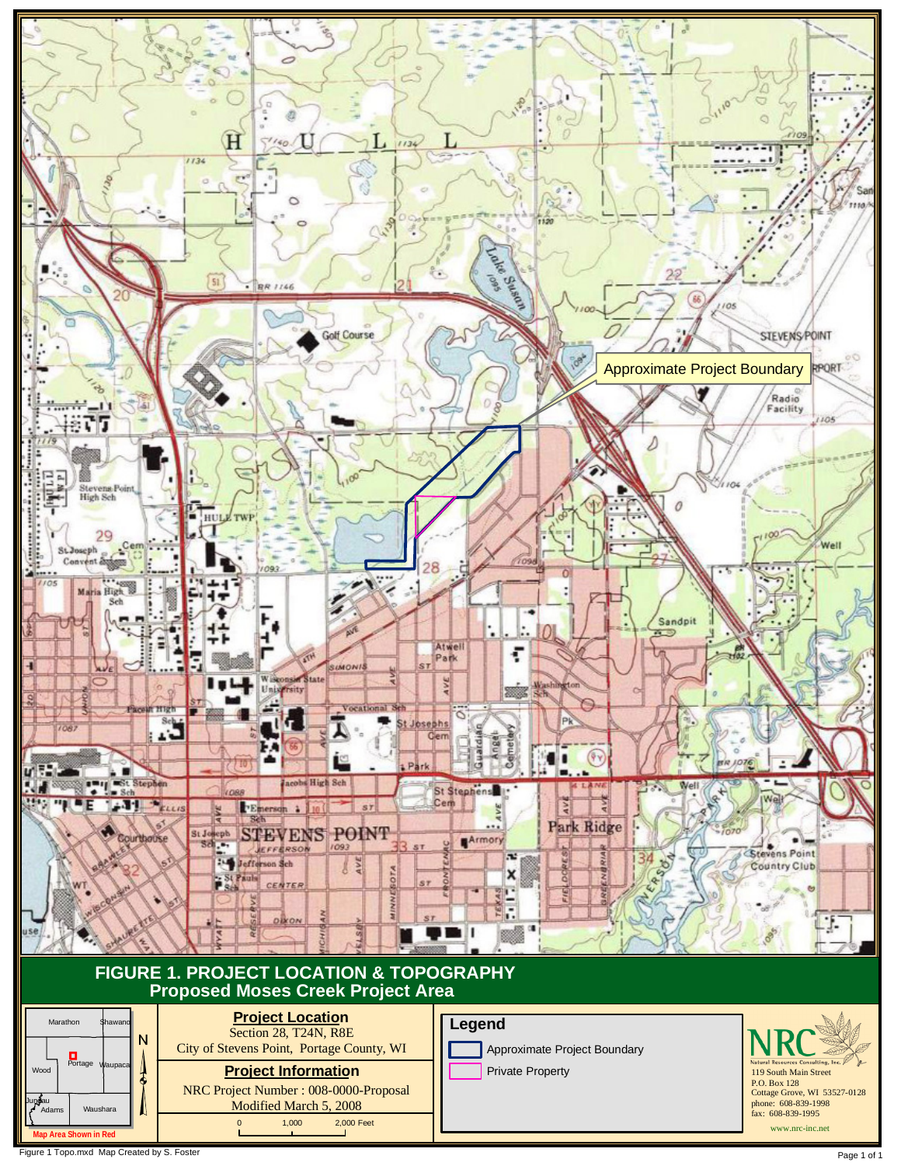

Figure 1 Topo.mxd Map Created by S. Foster